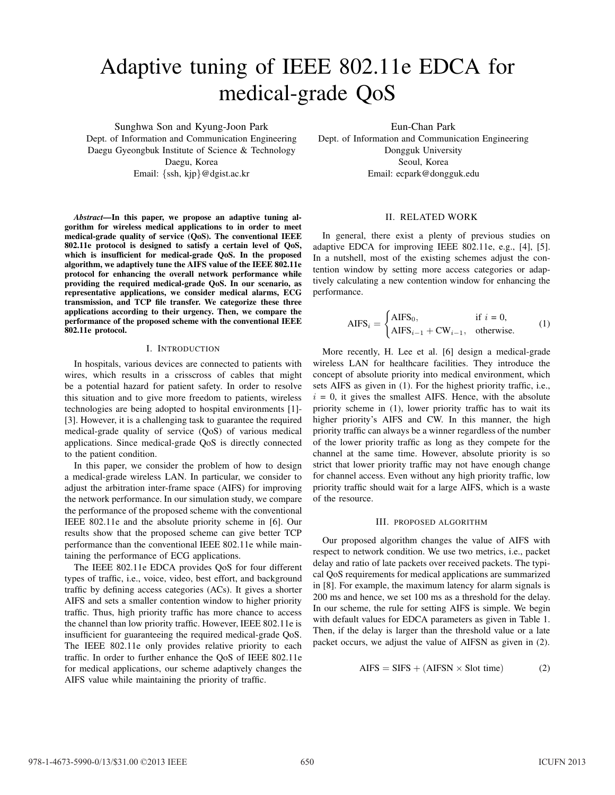# Adaptive tuning of IEEE 802.11e EDCA for medical-grade QoS

Sunghwa Son and Kyung-Joon Park Dept. of Information and Communication Engineering Daegu Gyeongbuk Institute of Science & Technology Daegu, Korea Email: {ssh, kjp}@dgist.ac.kr

*Abstract***—In this paper, we propose an adaptive tuning algorithm for wireless medical applications to in order to meet medical-grade quality of service (QoS). The conventional IEEE 802.11e protocol is designed to satisfy a certain level of QoS, which is insufficient for medical-grade QoS. In the proposed algorithm, we adaptively tune the AIFS value of the IEEE 802.11e protocol for enhancing the overall network performance while providing the required medical-grade QoS. In our scenario, as representative applications, we consider medical alarms, ECG transmission, and TCP file transfer. We categorize these three applications according to their urgency. Then, we compare the performance of the proposed scheme with the conventional IEEE 802.11e protocol.**

## I. INTRODUCTION

In hospitals, various devices are connected to patients with wires, which results in a crisscross of cables that might be a potential hazard for patient safety. In order to resolve this situation and to give more freedom to patients, wireless technologies are being adopted to hospital environments [1]- [3]. However, it is a challenging task to guarantee the required medical-grade quality of service (QoS) of various medical applications. Since medical-grade QoS is directly connected to the patient condition.

In this paper, we consider the problem of how to design a medical-grade wireless LAN. In particular, we consider to adjust the arbitration inter-frame space (AIFS) for improving the network performance. In our simulation study, we compare the performance of the proposed scheme with the conventional IEEE 802.11e and the absolute priority scheme in [6]. Our results show that the proposed scheme can give better TCP performance than the conventional IEEE 802.11e while maintaining the performance of ECG applications.

The IEEE 802.11e EDCA provides QoS for four different types of traffic, i.e., voice, video, best effort, and background traffic by defining access categories (ACs). It gives a shorter AIFS and sets a smaller contention window to higher priority traffic. Thus, high priority traffic has more chance to access the channel than low priority traffic. However, IEEE 802.11e is insufficient for guaranteeing the required medical-grade QoS. The IEEE 802.11e only provides relative priority to each traffic. In order to further enhance the QoS of IEEE 802.11e for medical applications, our scheme adaptively changes the AIFS value while maintaining the priority of traffic.

Eun-Chan Park Dept. of Information and Communication Engineering Dongguk University Seoul, Korea Email: ecpark@dongguk.edu

# II. RELATED WORK

In general, there exist a plenty of previous studies on adaptive EDCA for improving IEEE 802.11e, e.g., [4], [5]. In a nutshell, most of the existing schemes adjust the contention window by setting more access categories or adaptively calculating a new contention window for enhancing the performance.

$$
AIFS_i = \begin{cases} AIFS_0, & \text{if } i = 0, \\ AIFS_{i-1} + CW_{i-1}, & \text{otherwise.} \end{cases}
$$
 (1)

More recently, H. Lee et al. [6] design a medical-grade wireless LAN for healthcare facilities. They introduce the concept of absolute priority into medical environment, which sets AIFS as given in (1). For the highest priority traffic, i.e.,  $i = 0$ , it gives the smallest AIFS. Hence, with the absolute priority scheme in (1), lower priority traffic has to wait its higher priority's AIFS and CW. In this manner, the high priority traffic can always be a winner regardless of the number of the lower priority traffic as long as they compete for the channel at the same time. However, absolute priority is so strict that lower priority traffic may not have enough change for channel access. Even without any high priority traffic, low priority traffic should wait for a large AIFS, which is a waste of the resource.

## III. PROPOSED ALGORITHM

Our proposed algorithm changes the value of AIFS with respect to network condition. We use two metrics, i.e., packet delay and ratio of late packets over received packets. The typical QoS requirements for medical applications are summarized in [8]. For example, the maximum latency for alarm signals is 200 ms and hence, we set 100 ms as a threshold for the delay. In our scheme, the rule for setting AIFS is simple. We begin with default values for EDCA parameters as given in Table 1. Then, if the delay is larger than the threshold value or a late packet occurs, we adjust the value of AIFSN as given in (2).

$$
AIFS = SIFS + (AIFSN \times Slot time)
$$
 (2)